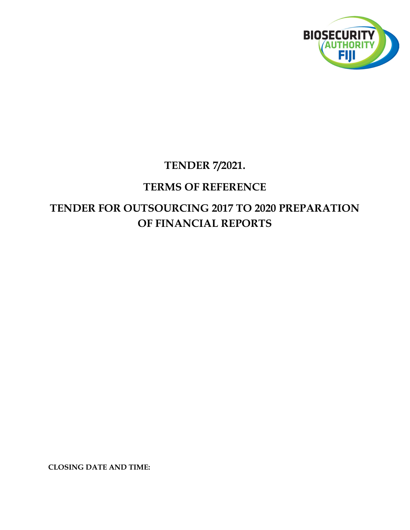

## TENDER 7/2021.

## TERMS OF REFERENCE

# TENDER FOR OUTSOURCING 2017 TO 2020 PREPARATION OF FINANCIAL REPORTS

CLOSING DATE AND TIME: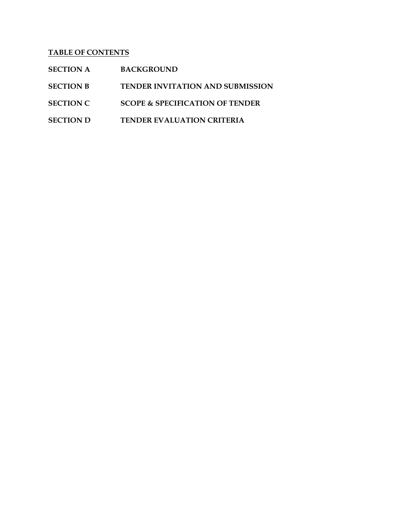### TABLE OF CONTENTS

| <b>SECTION A</b> | <b>BACKGROUND</b>                          |
|------------------|--------------------------------------------|
| <b>SECTION B</b> | <b>TENDER INVITATION AND SUBMISSION</b>    |
| <b>SECTION C</b> | <b>SCOPE &amp; SPECIFICATION OF TENDER</b> |
| <b>SECTION D</b> | <b>TENDER EVALUATION CRITERIA</b>          |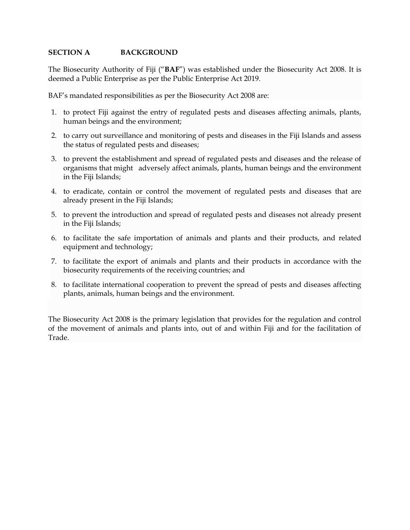#### SECTION A BACKGROUND

The Biosecurity Authority of Fiji ("BAF") was established under the Biosecurity Act 2008. It is deemed a Public Enterprise as per the Public Enterprise Act 2019.

BAF's mandated responsibilities as per the Biosecurity Act 2008 are:

- 1. to protect Fiji against the entry of regulated pests and diseases affecting animals, plants, human beings and the environment;
- 2. to carry out surveillance and monitoring of pests and diseases in the Fiji Islands and assess the status of regulated pests and diseases;
- 3. to prevent the establishment and spread of regulated pests and diseases and the release of organisms that might adversely affect animals, plants, human beings and the environment in the Fiji Islands;
- 4. to eradicate, contain or control the movement of regulated pests and diseases that are already present in the Fiji Islands;
- 5. to prevent the introduction and spread of regulated pests and diseases not already present in the Fiji Islands;
- 6. to facilitate the safe importation of animals and plants and their products, and related equipment and technology;
- 7. to facilitate the export of animals and plants and their products in accordance with the biosecurity requirements of the receiving countries; and
- 8. to facilitate international cooperation to prevent the spread of pests and diseases affecting plants, animals, human beings and the environment.

The Biosecurity Act 2008 is the primary legislation that provides for the regulation and control of the movement of animals and plants into, out of and within Fiji and for the facilitation of Trade.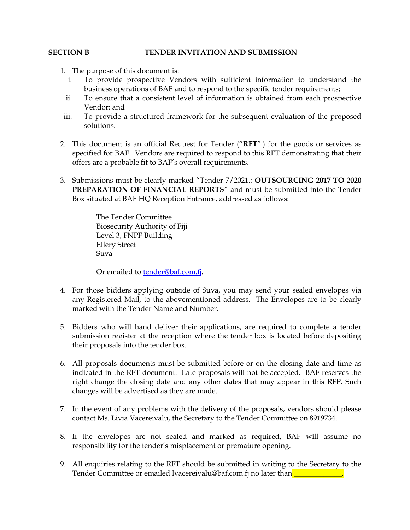#### SECTION B TENDER INVITATION AND SUBMISSION

- 1. The purpose of this document is:
	- i. To provide prospective Vendors with sufficient information to understand the business operations of BAF and to respond to the specific tender requirements;
	- ii. To ensure that a consistent level of information is obtained from each prospective Vendor; and
- iii. To provide a structured framework for the subsequent evaluation of the proposed solutions.
- 2. This document is an official Request for Tender ("RFT"') for the goods or services as specified for BAF. Vendors are required to respond to this RFT demonstrating that their offers are a probable fit to BAF's overall requirements.
- 3. Submissions must be clearly marked "Tender 7/2021.: OUTSOURCING 2017 TO 2020 PREPARATION OF FINANCIAL REPORTS" and must be submitted into the Tender Box situated at BAF HQ Reception Entrance, addressed as follows:

The Tender Committee Biosecurity Authority of Fiji Level 3, FNPF Building Ellery Street Suva

Or emailed to **tender@baf.com.fj**.

- 4. For those bidders applying outside of Suva, you may send your sealed envelopes via any Registered Mail, to the abovementioned address. The Envelopes are to be clearly marked with the Tender Name and Number.
- 5. Bidders who will hand deliver their applications, are required to complete a tender submission register at the reception where the tender box is located before depositing their proposals into the tender box.
- 6. All proposals documents must be submitted before or on the closing date and time as indicated in the RFT document. Late proposals will not be accepted. BAF reserves the right change the closing date and any other dates that may appear in this RFP. Such changes will be advertised as they are made.
- 7. In the event of any problems with the delivery of the proposals, vendors should please contact Ms. Livia Vacereivalu, the Secretary to the Tender Committee on 8919734.
- 8. If the envelopes are not sealed and marked as required, BAF will assume no responsibility for the tender's misplacement or premature opening.
- 9. All enquiries relating to the RFT should be submitted in writing to the Secretary to the Tender Committee or emailed lvacereivalu@baf.com.fj no later than**\_\_\_**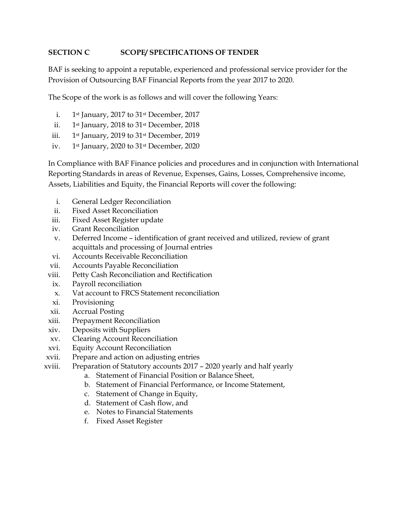#### SECTION C SCOPE/ SPECIFICATIONS OF TENDER

BAF is seeking to appoint a reputable, experienced and professional service provider for the Provision of Outsourcing BAF Financial Reports from the year 2017 to 2020.

The Scope of the work is as follows and will cover the following Years:

- i. 1st January, 2017 to 31st December, 2017
- ii. 1<sup>st</sup> January, 2018 to 31<sup>st</sup> December, 2018
- iii. 1<sup>st</sup> January, 2019 to 31<sup>st</sup> December, 2019
- iv. 1st January, 2020 to 31st December, 2020

In Compliance with BAF Finance policies and procedures and in conjunction with International Reporting Standards in areas of Revenue, Expenses, Gains, Losses, Comprehensive income, Assets, Liabilities and Equity, the Financial Reports will cover the following:

- i. General Ledger Reconciliation
- ii. Fixed Asset Reconciliation
- iii. Fixed Asset Register update
- iv. Grant Reconciliation
- v. Deferred Income identification of grant received and utilized, review of grant acquittals and processing of Journal entries
- vi. Accounts Receivable Reconciliation
- vii. Accounts Payable Reconciliation
- viii. Petty Cash Reconciliation and Rectification
- ix. Payroll reconciliation
- x. Vat account to FRCS Statement reconciliation
- xi. Provisioning
- xii. Accrual Posting
- xiii. Prepayment Reconciliation
- xiv. Deposits with Suppliers
- xv. Clearing Account Reconciliation
- xvi. Equity Account Reconciliation
- xvii. Prepare and action on adjusting entries
- xviii. Preparation of Statutory accounts 2017 2020 yearly and half yearly
	- a. Statement of Financial Position or Balance Sheet,
	- b. Statement of Financial Performance, or Income Statement,
	- c. Statement of Change in Equity,
	- d. Statement of Cash flow, and
	- e. Notes to Financial Statements
	- f. Fixed Asset Register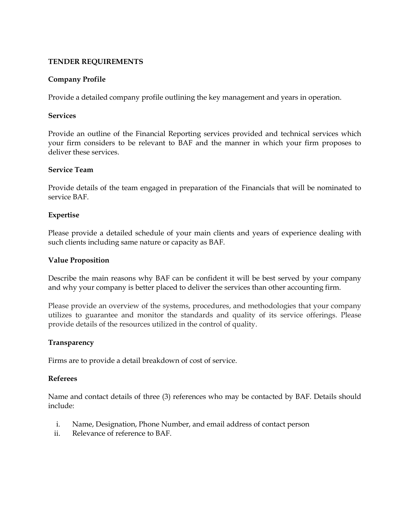#### TENDER REQUIREMENTS

#### Company Profile

Provide a detailed company profile outlining the key management and years in operation.

#### Services

Provide an outline of the Financial Reporting services provided and technical services which your firm considers to be relevant to BAF and the manner in which your firm proposes to deliver these services.

#### Service Team

Provide details of the team engaged in preparation of the Financials that will be nominated to service BAF.

#### Expertise

Please provide a detailed schedule of your main clients and years of experience dealing with such clients including same nature or capacity as BAF.

#### Value Proposition

Describe the main reasons why BAF can be confident it will be best served by your company and why your company is better placed to deliver the services than other accounting firm.

Please provide an overview of the systems, procedures, and methodologies that your company utilizes to guarantee and monitor the standards and quality of its service offerings. Please provide details of the resources utilized in the control of quality.

#### Transparency

Firms are to provide a detail breakdown of cost of service.

#### Referees

Name and contact details of three (3) references who may be contacted by BAF. Details should include:

- i. Name, Designation, Phone Number, and email address of contact person
- ii. Relevance of reference to BAF.